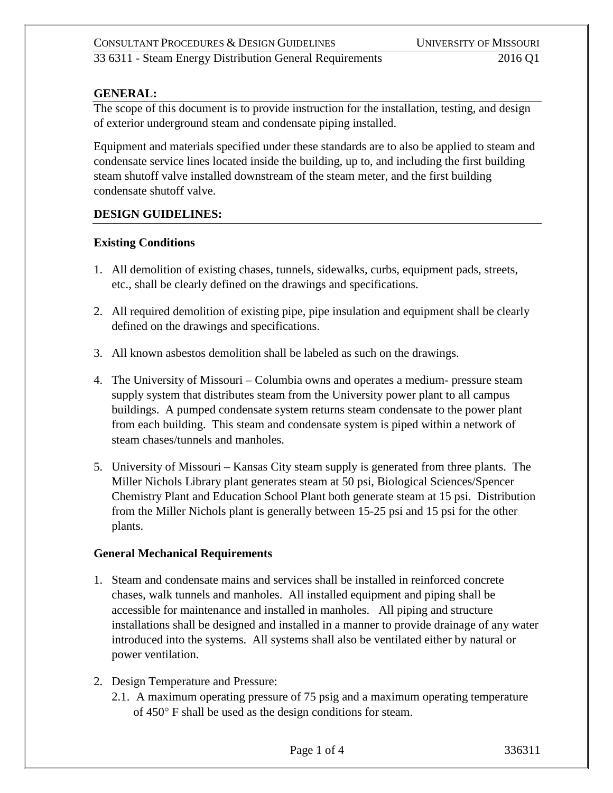### **GENERAL:**

The scope of this document is to provide instruction for the installation, testing, and design of exterior underground steam and condensate piping installed.

Equipment and materials specified under these standards are to also be applied to steam and condensate service lines located inside the building, up to, and including the first building steam shutoff valve installed downstream of the steam meter, and the first building condensate shutoff valve.

## **DESIGN GUIDELINES:**

#### **Existing Conditions**

- 1. All demolition of existing chases, tunnels, sidewalks, curbs, equipment pads, streets, etc., shall be clearly defined on the drawings and specifications.
- 2. All required demolition of existing pipe, pipe insulation and equipment shall be clearly defined on the drawings and specifications.
- 3. All known asbestos demolition shall be labeled as such on the drawings.
- 4. The University of Missouri Columbia owns and operates a medium- pressure steam supply system that distributes steam from the University power plant to all campus buildings. A pumped condensate system returns steam condensate to the power plant from each building. This steam and condensate system is piped within a network of steam chases/tunnels and manholes.
- 5. University of Missouri Kansas City steam supply is generated from three plants. The Miller Nichols Library plant generates steam at 50 psi, Biological Sciences/Spencer Chemistry Plant and Education School Plant both generate steam at 15 psi. Distribution from the Miller Nichols plant is generally between 15-25 psi and 15 psi for the other plants.

#### **General Mechanical Requirements**

- 1. Steam and condensate mains and services shall be installed in reinforced concrete chases, walk tunnels and manholes. All installed equipment and piping shall be accessible for maintenance and installed in manholes. All piping and structure installations shall be designed and installed in a manner to provide drainage of any water introduced into the systems. All systems shall also be ventilated either by natural or power ventilation.
- 2. Design Temperature and Pressure:
	- 2.1. A maximum operating pressure of 75 psig and a maximum operating temperature of 450° F shall be used as the design conditions for steam.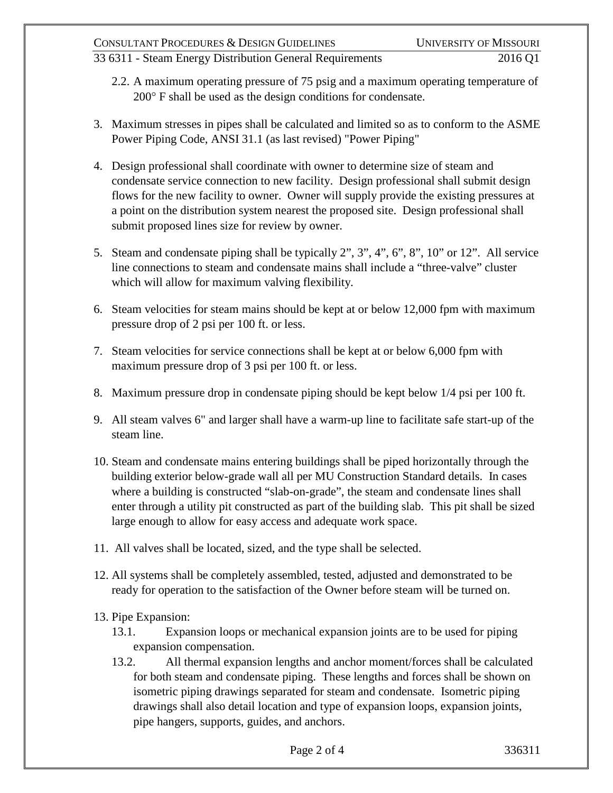## 33 6311 - Steam Energy Distribution General Requirements 2016 Q1

- 2.2. A maximum operating pressure of 75 psig and a maximum operating temperature of 200° F shall be used as the design conditions for condensate.
- 3. Maximum stresses in pipes shall be calculated and limited so as to conform to the ASME Power Piping Code, ANSI 31.1 (as last revised) "Power Piping"
- 4. Design professional shall coordinate with owner to determine size of steam and condensate service connection to new facility. Design professional shall submit design flows for the new facility to owner. Owner will supply provide the existing pressures at a point on the distribution system nearest the proposed site. Design professional shall submit proposed lines size for review by owner.
- 5. Steam and condensate piping shall be typically 2", 3", 4", 6", 8", 10" or 12". All service line connections to steam and condensate mains shall include a "three-valve" cluster which will allow for maximum valving flexibility.
- 6. Steam velocities for steam mains should be kept at or below 12,000 fpm with maximum pressure drop of 2 psi per 100 ft. or less.
- 7. Steam velocities for service connections shall be kept at or below 6,000 fpm with maximum pressure drop of 3 psi per 100 ft. or less.
- 8. Maximum pressure drop in condensate piping should be kept below 1/4 psi per 100 ft.
- 9. All steam valves 6" and larger shall have a warm-up line to facilitate safe start-up of the steam line.
- 10. Steam and condensate mains entering buildings shall be piped horizontally through the building exterior below-grade wall all per MU Construction Standard details. In cases where a building is constructed "slab-on-grade", the steam and condensate lines shall enter through a utility pit constructed as part of the building slab. This pit shall be sized large enough to allow for easy access and adequate work space.
- 11. All valves shall be located, sized, and the type shall be selected.
- 12. All systems shall be completely assembled, tested, adjusted and demonstrated to be ready for operation to the satisfaction of the Owner before steam will be turned on.
- 13. Pipe Expansion:
	- 13.1. Expansion loops or mechanical expansion joints are to be used for piping expansion compensation.
	- 13.2. All thermal expansion lengths and anchor moment/forces shall be calculated for both steam and condensate piping. These lengths and forces shall be shown on isometric piping drawings separated for steam and condensate. Isometric piping drawings shall also detail location and type of expansion loops, expansion joints, pipe hangers, supports, guides, and anchors.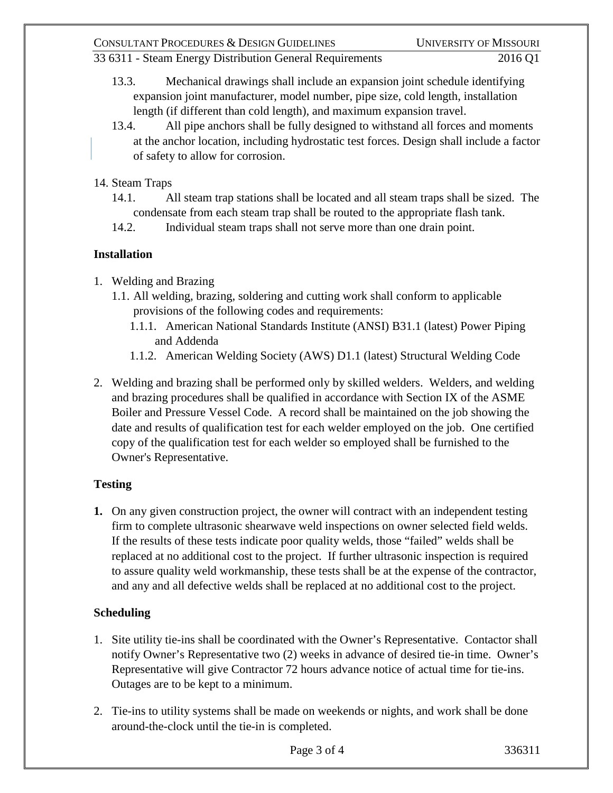- 13.3. Mechanical drawings shall include an expansion joint schedule identifying expansion joint manufacturer, model number, pipe size, cold length, installation length (if different than cold length), and maximum expansion travel.
- 13.4. All pipe anchors shall be fully designed to withstand all forces and moments at the anchor location, including hydrostatic test forces. Design shall include a factor of safety to allow for corrosion.
- 14. Steam Traps
	- 14.1. All steam trap stations shall be located and all steam traps shall be sized. The condensate from each steam trap shall be routed to the appropriate flash tank.
	- 14.2. Individual steam traps shall not serve more than one drain point.

## **Installation**

- 1. Welding and Brazing
	- 1.1. All welding, brazing, soldering and cutting work shall conform to applicable provisions of the following codes and requirements:
		- 1.1.1. American National Standards Institute (ANSI) B31.1 (latest) Power Piping and Addenda
		- 1.1.2. American Welding Society (AWS) D1.1 (latest) Structural Welding Code
- 2. Welding and brazing shall be performed only by skilled welders. Welders, and welding and brazing procedures shall be qualified in accordance with Section IX of the ASME Boiler and Pressure Vessel Code. A record shall be maintained on the job showing the date and results of qualification test for each welder employed on the job. One certified copy of the qualification test for each welder so employed shall be furnished to the Owner's Representative.

## **Testing**

**1.** On any given construction project, the owner will contract with an independent testing firm to complete ultrasonic shearwave weld inspections on owner selected field welds. If the results of these tests indicate poor quality welds, those "failed" welds shall be replaced at no additional cost to the project. If further ultrasonic inspection is required to assure quality weld workmanship, these tests shall be at the expense of the contractor, and any and all defective welds shall be replaced at no additional cost to the project.

## **Scheduling**

- 1. Site utility tie-ins shall be coordinated with the Owner's Representative. Contactor shall notify Owner's Representative two (2) weeks in advance of desired tie-in time. Owner's Representative will give Contractor 72 hours advance notice of actual time for tie-ins. Outages are to be kept to a minimum.
- 2. Tie-ins to utility systems shall be made on weekends or nights, and work shall be done around-the-clock until the tie-in is completed.